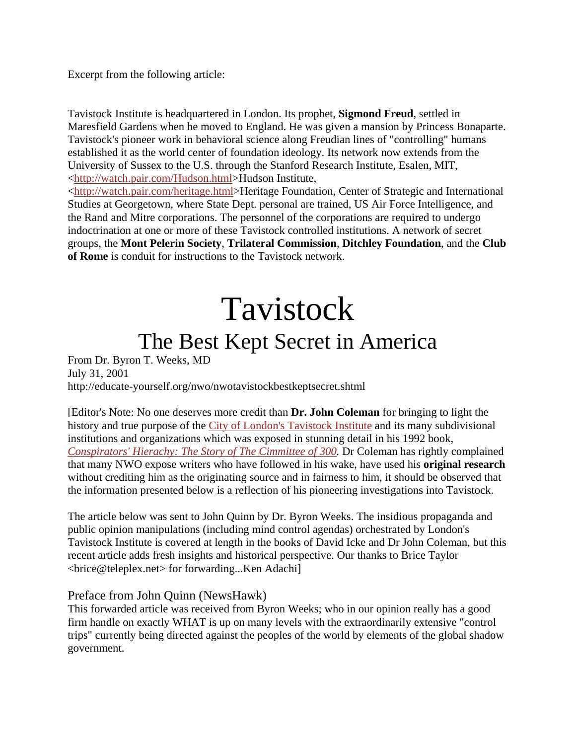Excerpt from the following article:

Tavistock Institute is headquartered in London. Its prophet, **Sigmond Freud**, settled in Maresfield Gardens when he moved to England. He was given a mansion by Princess Bonaparte. Tavistock's pioneer work in behavioral science along Freudian lines of "controlling" humans established it as the world center of foundation ideology. Its network now extends from the University of Sussex to the U.S. through the Stanford Research Institute, Esalen, MIT, <http://watch.pair.com/Hudson.html>Hudson Institute,

<http://watch.pair.com/heritage.html>Heritage Foundation, Center of Strategic and International Studies at Georgetown, where State Dept. personal are trained, US Air Force Intelligence, and the Rand and Mitre corporations. The personnel of the corporations are required to undergo indoctrination at one or more of these Tavistock controlled institutions. A network of secret groups, the **Mont Pelerin Society**, **Trilateral Commission**, **Ditchley Foundation**, and the **Club of Rome** is conduit for instructions to the Tavistock network.

# Tavistock The Best Kept Secret in America

From Dr. Byron T. Weeks, MD July 31, 2001 http://educate-yourself.org/nwo/nwotavistockbestkeptsecret.shtml

[Editor's Note: No one deserves more credit than **Dr. John Coleman** for bringing to light the history and true purpose of the City of London's Tavistock Institute and its many subdivisional institutions and organizations which was exposed in stunning detail in his 1992 book, *Conspirators' Hierachy: The Story of The Cimmittee of 300.* Dr Coleman has rightly complained that many NWO expose writers who have followed in his wake, have used his **original research** without crediting him as the originating source and in fairness to him, it should be observed that the information presented below is a reflection of his pioneering investigations into Tavistock.

The article below was sent to John Quinn by Dr. Byron Weeks. The insidious propaganda and public opinion manipulations (including mind control agendas) orchestrated by London's Tavistock Institute is covered at length in the books of David Icke and Dr John Coleman, but this recent article adds fresh insights and historical perspective. Our thanks to Brice Taylor <brice@teleplex.net> for forwarding...Ken Adachi]

## Preface from John Quinn (NewsHawk)

This forwarded article was received from Byron Weeks; who in our opinion really has a good firm handle on exactly WHAT is up on many levels with the extraordinarily extensive "control trips" currently being directed against the peoples of the world by elements of the global shadow government.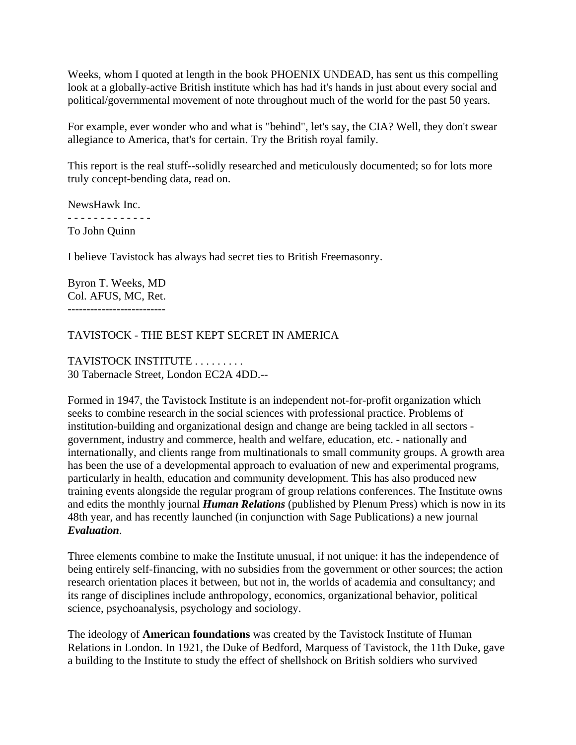Weeks, whom I quoted at length in the book PHOENIX UNDEAD, has sent us this compelling look at a globally-active British institute which has had it's hands in just about every social and political/governmental movement of note throughout much of the world for the past 50 years.

For example, ever wonder who and what is "behind", let's say, the CIA? Well, they don't swear allegiance to America, that's for certain. Try the British royal family.

This report is the real stuff--solidly researched and meticulously documented; so for lots more truly concept-bending data, read on.

NewsHawk Inc. To John Quinn

I believe Tavistock has always had secret ties to British Freemasonry.

Byron T. Weeks, MD Col. AFUS, MC, Ret. --------------------------

#### TAVISTOCK - THE BEST KEPT SECRET IN AMERICA

TAVISTOCK INSTITUTE . . . . . . . . . 30 Tabernacle Street, London EC2A 4DD.--

Formed in 1947, the Tavistock Institute is an independent not-for-profit organization which seeks to combine research in the social sciences with professional practice. Problems of institution-building and organizational design and change are being tackled in all sectors government, industry and commerce, health and welfare, education, etc. - nationally and internationally, and clients range from multinationals to small community groups. A growth area has been the use of a developmental approach to evaluation of new and experimental programs, particularly in health, education and community development. This has also produced new training events alongside the regular program of group relations conferences. The Institute owns and edits the monthly journal *Human Relations* (published by Plenum Press) which is now in its 48th year, and has recently launched (in conjunction with Sage Publications) a new journal *Evaluation*.

Three elements combine to make the Institute unusual, if not unique: it has the independence of being entirely self-financing, with no subsidies from the government or other sources; the action research orientation places it between, but not in, the worlds of academia and consultancy; and its range of disciplines include anthropology, economics, organizational behavior, political science, psychoanalysis, psychology and sociology.

The ideology of **American foundations** was created by the Tavistock Institute of Human Relations in London. In 1921, the Duke of Bedford, Marquess of Tavistock, the 11th Duke, gave a building to the Institute to study the effect of shellshock on British soldiers who survived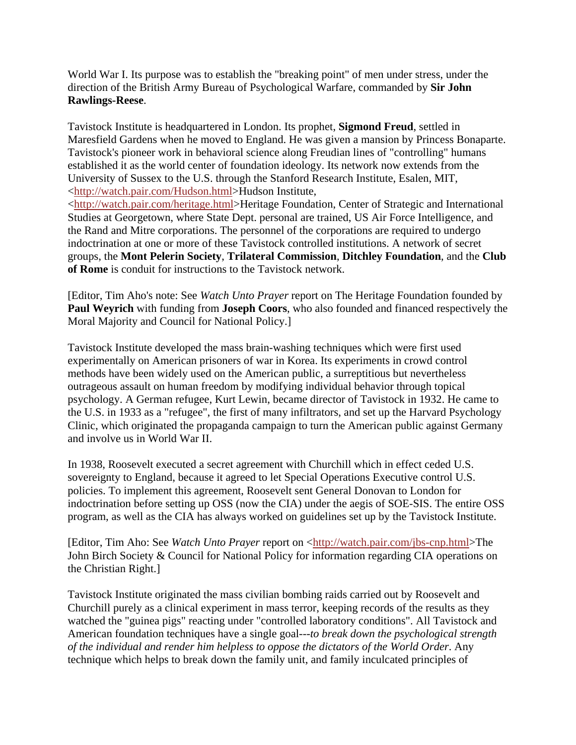World War I. Its purpose was to establish the "breaking point" of men under stress, under the direction of the British Army Bureau of Psychological Warfare, commanded by **Sir John Rawlings-Reese**.

Tavistock Institute is headquartered in London. Its prophet, **Sigmond Freud**, settled in Maresfield Gardens when he moved to England. He was given a mansion by Princess Bonaparte. Tavistock's pioneer work in behavioral science along Freudian lines of "controlling" humans established it as the world center of foundation ideology. Its network now extends from the University of Sussex to the U.S. through the Stanford Research Institute, Esalen, MIT, <http://watch.pair.com/Hudson.html>Hudson Institute,

<http://watch.pair.com/heritage.html>Heritage Foundation, Center of Strategic and International Studies at Georgetown, where State Dept. personal are trained, US Air Force Intelligence, and the Rand and Mitre corporations. The personnel of the corporations are required to undergo indoctrination at one or more of these Tavistock controlled institutions. A network of secret groups, the **Mont Pelerin Society**, **Trilateral Commission**, **Ditchley Foundation**, and the **Club of Rome** is conduit for instructions to the Tavistock network.

[Editor, Tim Aho's note: See *Watch Unto Prayer* report on The Heritage Foundation founded by **Paul Weyrich** with funding from **Joseph Coors**, who also founded and financed respectively the Moral Majority and Council for National Policy.]

Tavistock Institute developed the mass brain-washing techniques which were first used experimentally on American prisoners of war in Korea. Its experiments in crowd control methods have been widely used on the American public, a surreptitious but nevertheless outrageous assault on human freedom by modifying individual behavior through topical psychology. A German refugee, Kurt Lewin, became director of Tavistock in 1932. He came to the U.S. in 1933 as a "refugee", the first of many infiltrators, and set up the Harvard Psychology Clinic, which originated the propaganda campaign to turn the American public against Germany and involve us in World War II.

In 1938, Roosevelt executed a secret agreement with Churchill which in effect ceded U.S. sovereignty to England, because it agreed to let Special Operations Executive control U.S. policies. To implement this agreement, Roosevelt sent General Donovan to London for indoctrination before setting up OSS (now the CIA) under the aegis of SOE-SIS. The entire OSS program, as well as the CIA has always worked on guidelines set up by the Tavistock Institute.

[Editor, Tim Aho: See *Watch Unto Prayer* report on <http://watch.pair.com/jbs-cnp.html>The John Birch Society & Council for National Policy for information regarding CIA operations on the Christian Right.]

Tavistock Institute originated the mass civilian bombing raids carried out by Roosevelt and Churchill purely as a clinical experiment in mass terror, keeping records of the results as they watched the "guinea pigs" reacting under "controlled laboratory conditions". All Tavistock and American foundation techniques have a single goal---*to break down the psychological strength of the individual and render him helpless to oppose the dictators of the World Order*. Any technique which helps to break down the family unit, and family inculcated principles of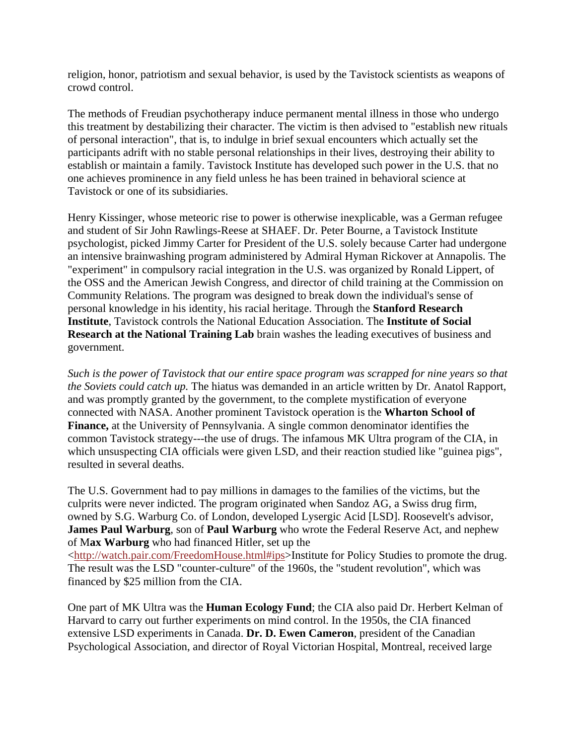religion, honor, patriotism and sexual behavior, is used by the Tavistock scientists as weapons of crowd control.

The methods of Freudian psychotherapy induce permanent mental illness in those who undergo this treatment by destabilizing their character. The victim is then advised to "establish new rituals of personal interaction", that is, to indulge in brief sexual encounters which actually set the participants adrift with no stable personal relationships in their lives, destroying their ability to establish or maintain a family. Tavistock Institute has developed such power in the U.S. that no one achieves prominence in any field unless he has been trained in behavioral science at Tavistock or one of its subsidiaries.

Henry Kissinger, whose meteoric rise to power is otherwise inexplicable, was a German refugee and student of Sir John Rawlings-Reese at SHAEF. Dr. Peter Bourne, a Tavistock Institute psychologist, picked Jimmy Carter for President of the U.S. solely because Carter had undergone an intensive brainwashing program administered by Admiral Hyman Rickover at Annapolis. The "experiment" in compulsory racial integration in the U.S. was organized by Ronald Lippert, of the OSS and the American Jewish Congress, and director of child training at the Commission on Community Relations. The program was designed to break down the individual's sense of personal knowledge in his identity, his racial heritage. Through the **Stanford Research Institute**, Tavistock controls the National Education Association. The **Institute of Social Research at the National Training Lab** brain washes the leading executives of business and government.

*Such is the power of Tavistock that our entire space program was scrapped for nine years so that the Soviets could catch up.* The hiatus was demanded in an article written by Dr. Anatol Rapport, and was promptly granted by the government, to the complete mystification of everyone connected with NASA. Another prominent Tavistock operation is the **Wharton School of Finance,** at the University of Pennsylvania. A single common denominator identifies the common Tavistock strategy---the use of drugs. The infamous MK Ultra program of the CIA, in which unsuspecting CIA officials were given LSD, and their reaction studied like "guinea pigs", resulted in several deaths.

The U.S. Government had to pay millions in damages to the families of the victims, but the culprits were never indicted. The program originated when Sandoz AG, a Swiss drug firm, owned by S.G. Warburg Co. of London, developed Lysergic Acid [LSD]. Roosevelt's advisor, **James Paul Warburg**, son of **Paul Warburg** who wrote the Federal Reserve Act, and nephew of M**ax Warburg** who had financed Hitler, set up the <http://watch.pair.com/FreedomHouse.html#ips>Institute for Policy Studies to promote the drug. The result was the LSD "counter-culture" of the 1960s, the "student revolution", which was financed by \$25 million from the CIA.

One part of MK Ultra was the **Human Ecology Fund**; the CIA also paid Dr. Herbert Kelman of Harvard to carry out further experiments on mind control. In the 1950s, the CIA financed extensive LSD experiments in Canada. **Dr. D. Ewen Cameron**, president of the Canadian Psychological Association, and director of Royal Victorian Hospital, Montreal, received large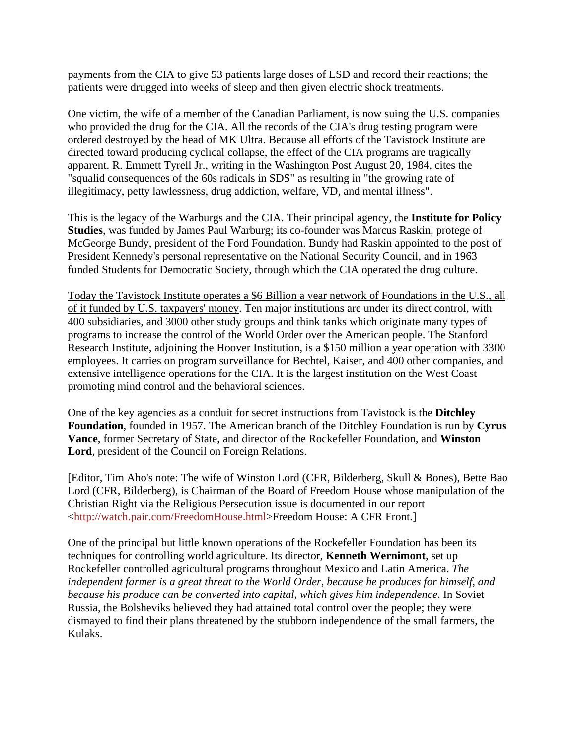payments from the CIA to give 53 patients large doses of LSD and record their reactions; the patients were drugged into weeks of sleep and then given electric shock treatments.

One victim, the wife of a member of the Canadian Parliament, is now suing the U.S. companies who provided the drug for the CIA. All the records of the CIA's drug testing program were ordered destroyed by the head of MK Ultra. Because all efforts of the Tavistock Institute are directed toward producing cyclical collapse, the effect of the CIA programs are tragically apparent. R. Emmett Tyrell Jr., writing in the Washington Post August 20, 1984, cites the "squalid consequences of the 60s radicals in SDS" as resulting in "the growing rate of illegitimacy, petty lawlessness, drug addiction, welfare, VD, and mental illness".

This is the legacy of the Warburgs and the CIA. Their principal agency, the **Institute for Policy Studies**, was funded by James Paul Warburg; its co-founder was Marcus Raskin, protege of McGeorge Bundy, president of the Ford Foundation. Bundy had Raskin appointed to the post of President Kennedy's personal representative on the National Security Council, and in 1963 funded Students for Democratic Society, through which the CIA operated the drug culture.

Today the Tavistock Institute operates a \$6 Billion a year network of Foundations in the U.S., all of it funded by U.S. taxpayers' money. Ten major institutions are under its direct control, with 400 subsidiaries, and 3000 other study groups and think tanks which originate many types of programs to increase the control of the World Order over the American people. The Stanford Research Institute, adjoining the Hoover Institution, is a \$150 million a year operation with 3300 employees. It carries on program surveillance for Bechtel, Kaiser, and 400 other companies, and extensive intelligence operations for the CIA. It is the largest institution on the West Coast promoting mind control and the behavioral sciences.

One of the key agencies as a conduit for secret instructions from Tavistock is the **Ditchley Foundation**, founded in 1957. The American branch of the Ditchley Foundation is run by **Cyrus Vance**, former Secretary of State, and director of the Rockefeller Foundation, and **Winston Lord**, president of the Council on Foreign Relations.

[Editor, Tim Aho's note: The wife of Winston Lord (CFR, Bilderberg, Skull & Bones), Bette Bao Lord (CFR, Bilderberg), is Chairman of the Board of Freedom House whose manipulation of the Christian Right via the Religious Persecution issue is documented in our report <http://watch.pair.com/FreedomHouse.html>Freedom House: A CFR Front.]

One of the principal but little known operations of the Rockefeller Foundation has been its techniques for controlling world agriculture. Its director, **Kenneth Wernimont**, set up Rockefeller controlled agricultural programs throughout Mexico and Latin America. *The independent farmer is a great threat to the World Order, because he produces for himself, and because his produce can be converted into capital, which gives him independence*. In Soviet Russia, the Bolsheviks believed they had attained total control over the people; they were dismayed to find their plans threatened by the stubborn independence of the small farmers, the Kulaks.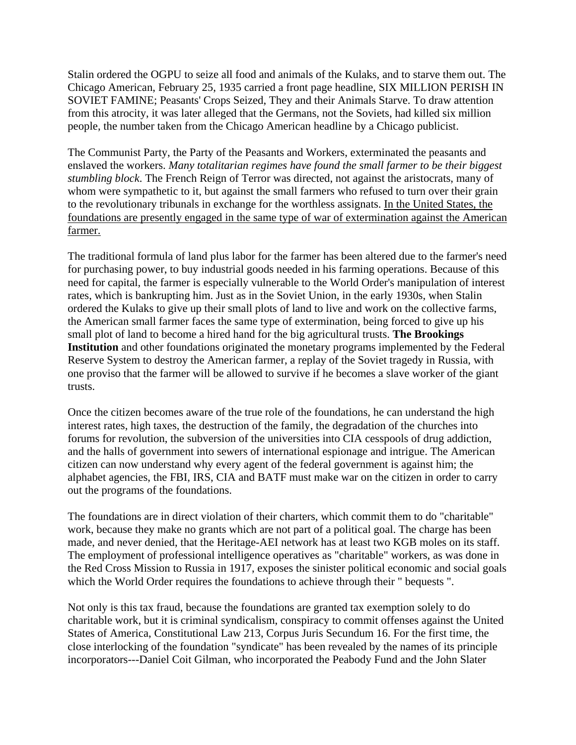Stalin ordered the OGPU to seize all food and animals of the Kulaks, and to starve them out. The Chicago American, February 25, 1935 carried a front page headline, SIX MILLION PERISH IN SOVIET FAMINE; Peasants' Crops Seized, They and their Animals Starve. To draw attention from this atrocity, it was later alleged that the Germans, not the Soviets, had killed six million people, the number taken from the Chicago American headline by a Chicago publicist.

The Communist Party, the Party of the Peasants and Workers, exterminated the peasants and enslaved the workers. *Many totalitarian regimes have found the small farmer to be their biggest stumbling block*. The French Reign of Terror was directed, not against the aristocrats, many of whom were sympathetic to it, but against the small farmers who refused to turn over their grain to the revolutionary tribunals in exchange for the worthless assignats. In the United States, the foundations are presently engaged in the same type of war of extermination against the American farmer.

The traditional formula of land plus labor for the farmer has been altered due to the farmer's need for purchasing power, to buy industrial goods needed in his farming operations. Because of this need for capital, the farmer is especially vulnerable to the World Order's manipulation of interest rates, which is bankrupting him. Just as in the Soviet Union, in the early 1930s, when Stalin ordered the Kulaks to give up their small plots of land to live and work on the collective farms, the American small farmer faces the same type of extermination, being forced to give up his small plot of land to become a hired hand for the big agricultural trusts. **The Brookings Institution** and other foundations originated the monetary programs implemented by the Federal Reserve System to destroy the American farmer, a replay of the Soviet tragedy in Russia, with one proviso that the farmer will be allowed to survive if he becomes a slave worker of the giant trusts.

Once the citizen becomes aware of the true role of the foundations, he can understand the high interest rates, high taxes, the destruction of the family, the degradation of the churches into forums for revolution, the subversion of the universities into CIA cesspools of drug addiction, and the halls of government into sewers of international espionage and intrigue. The American citizen can now understand why every agent of the federal government is against him; the alphabet agencies, the FBI, IRS, CIA and BATF must make war on the citizen in order to carry out the programs of the foundations.

The foundations are in direct violation of their charters, which commit them to do "charitable" work, because they make no grants which are not part of a political goal. The charge has been made, and never denied, that the Heritage-AEI network has at least two KGB moles on its staff. The employment of professional intelligence operatives as "charitable" workers, as was done in the Red Cross Mission to Russia in 1917, exposes the sinister political economic and social goals which the World Order requires the foundations to achieve through their " bequests ".

Not only is this tax fraud, because the foundations are granted tax exemption solely to do charitable work, but it is criminal syndicalism, conspiracy to commit offenses against the United States of America, Constitutional Law 213, Corpus Juris Secundum 16. For the first time, the close interlocking of the foundation "syndicate" has been revealed by the names of its principle incorporators---Daniel Coit Gilman, who incorporated the Peabody Fund and the John Slater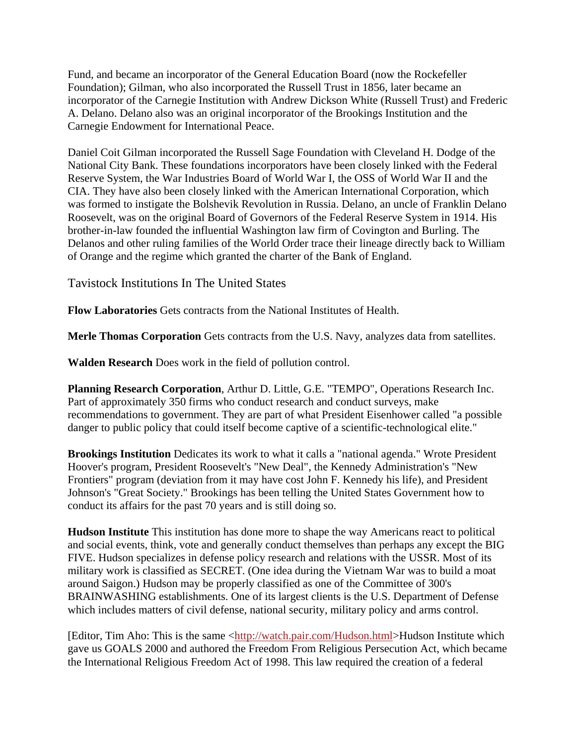Fund, and became an incorporator of the General Education Board (now the Rockefeller Foundation); Gilman, who also incorporated the Russell Trust in 1856, later became an incorporator of the Carnegie Institution with Andrew Dickson White (Russell Trust) and Frederic A. Delano. Delano also was an original incorporator of the Brookings Institution and the Carnegie Endowment for International Peace.

Daniel Coit Gilman incorporated the Russell Sage Foundation with Cleveland H. Dodge of the National City Bank. These foundations incorporators have been closely linked with the Federal Reserve System, the War Industries Board of World War I, the OSS of World War II and the CIA. They have also been closely linked with the American International Corporation, which was formed to instigate the Bolshevik Revolution in Russia. Delano, an uncle of Franklin Delano Roosevelt, was on the original Board of Governors of the Federal Reserve System in 1914. His brother-in-law founded the influential Washington law firm of Covington and Burling. The Delanos and other ruling families of the World Order trace their lineage directly back to William of Orange and the regime which granted the charter of the Bank of England.

Tavistock Institutions In The United States

**Flow Laboratories** Gets contracts from the National Institutes of Health.

**Merle Thomas Corporation** Gets contracts from the U.S. Navy, analyzes data from satellites.

**Walden Research** Does work in the field of pollution control.

**Planning Research Corporation**, Arthur D. Little, G.E. "TEMPO", Operations Research Inc. Part of approximately 350 firms who conduct research and conduct surveys, make recommendations to government. They are part of what President Eisenhower called "a possible danger to public policy that could itself become captive of a scientific-technological elite."

**Brookings Institution** Dedicates its work to what it calls a "national agenda." Wrote President Hoover's program, President Roosevelt's "New Deal", the Kennedy Administration's "New Frontiers" program (deviation from it may have cost John F. Kennedy his life), and President Johnson's "Great Society." Brookings has been telling the United States Government how to conduct its affairs for the past 70 years and is still doing so.

**Hudson Institute** This institution has done more to shape the way Americans react to political and social events, think, vote and generally conduct themselves than perhaps any except the BIG FIVE. Hudson specializes in defense policy research and relations with the USSR. Most of its military work is classified as SECRET. (One idea during the Vietnam War was to build a moat around Saigon.) Hudson may be properly classified as one of the Committee of 300's BRAINWASHING establishments. One of its largest clients is the U.S. Department of Defense which includes matters of civil defense, national security, military policy and arms control.

[Editor, Tim Aho: This is the same <http://watch.pair.com/Hudson.html>Hudson Institute which gave us GOALS 2000 and authored the Freedom From Religious Persecution Act, which became the International Religious Freedom Act of 1998. This law required the creation of a federal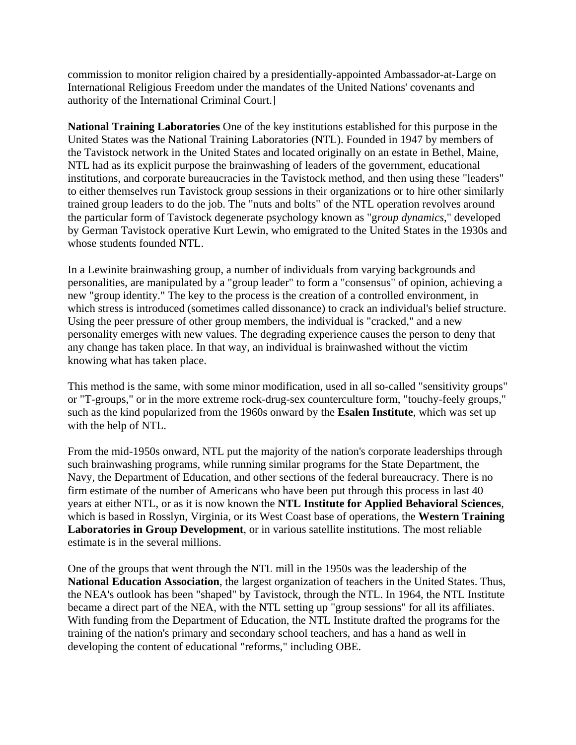commission to monitor religion chaired by a presidentially-appointed Ambassador-at-Large on International Religious Freedom under the mandates of the United Nations' covenants and authority of the International Criminal Court.]

**National Training Laboratories** One of the key institutions established for this purpose in the United States was the National Training Laboratories (NTL). Founded in 1947 by members of the Tavistock network in the United States and located originally on an estate in Bethel, Maine, NTL had as its explicit purpose the brainwashing of leaders of the government, educational institutions, and corporate bureaucracies in the Tavistock method, and then using these "leaders" to either themselves run Tavistock group sessions in their organizations or to hire other similarly trained group leaders to do the job. The "nuts and bolts" of the NTL operation revolves around the particular form of Tavistock degenerate psychology known as "g*roup dynamics*," developed by German Tavistock operative Kurt Lewin, who emigrated to the United States in the 1930s and whose students founded NTL.

In a Lewinite brainwashing group, a number of individuals from varying backgrounds and personalities, are manipulated by a "group leader" to form a "consensus" of opinion, achieving a new "group identity." The key to the process is the creation of a controlled environment, in which stress is introduced (sometimes called dissonance) to crack an individual's belief structure. Using the peer pressure of other group members, the individual is "cracked," and a new personality emerges with new values. The degrading experience causes the person to deny that any change has taken place. In that way, an individual is brainwashed without the victim knowing what has taken place.

This method is the same, with some minor modification, used in all so-called "sensitivity groups" or "T-groups," or in the more extreme rock-drug-sex counterculture form, "touchy-feely groups," such as the kind popularized from the 1960s onward by the **Esalen Institute**, which was set up with the help of NTL.

From the mid-1950s onward, NTL put the majority of the nation's corporate leaderships through such brainwashing programs, while running similar programs for the State Department, the Navy, the Department of Education, and other sections of the federal bureaucracy. There is no firm estimate of the number of Americans who have been put through this process in last 40 years at either NTL, or as it is now known the **NTL Institute for Applied Behavioral Sciences**, which is based in Rosslyn, Virginia, or its West Coast base of operations, the **Western Training Laboratories in Group Development**, or in various satellite institutions. The most reliable estimate is in the several millions.

One of the groups that went through the NTL mill in the 1950s was the leadership of the **National Education Association**, the largest organization of teachers in the United States. Thus, the NEA's outlook has been "shaped" by Tavistock, through the NTL. In 1964, the NTL Institute became a direct part of the NEA, with the NTL setting up "group sessions" for all its affiliates. With funding from the Department of Education, the NTL Institute drafted the programs for the training of the nation's primary and secondary school teachers, and has a hand as well in developing the content of educational "reforms," including OBE.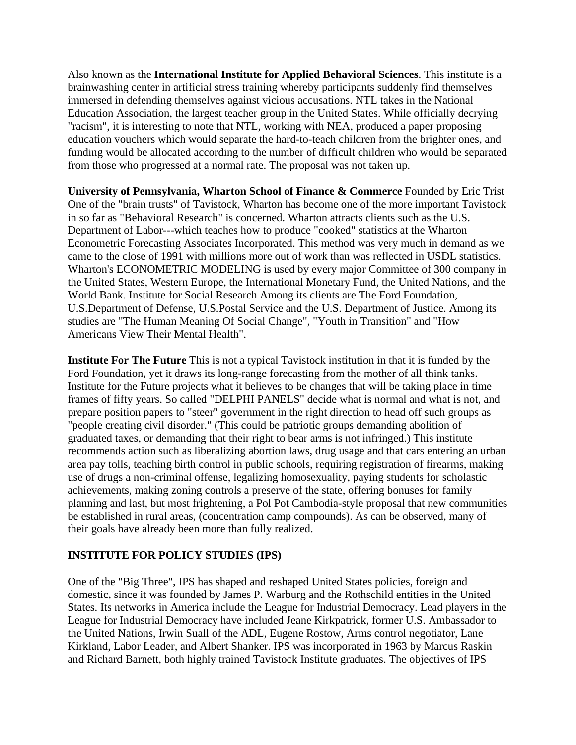Also known as the **International Institute for Applied Behavioral Sciences**. This institute is a brainwashing center in artificial stress training whereby participants suddenly find themselves immersed in defending themselves against vicious accusations. NTL takes in the National Education Association, the largest teacher group in the United States. While officially decrying "racism", it is interesting to note that NTL, working with NEA, produced a paper proposing education vouchers which would separate the hard-to-teach children from the brighter ones, and funding would be allocated according to the number of difficult children who would be separated from those who progressed at a normal rate. The proposal was not taken up.

**University of Pennsylvania, Wharton School of Finance & Commerce** Founded by Eric Trist One of the "brain trusts" of Tavistock, Wharton has become one of the more important Tavistock in so far as "Behavioral Research" is concerned. Wharton attracts clients such as the U.S. Department of Labor---which teaches how to produce "cooked" statistics at the Wharton Econometric Forecasting Associates Incorporated. This method was very much in demand as we came to the close of 1991 with millions more out of work than was reflected in USDL statistics. Wharton's ECONOMETRIC MODELING is used by every major Committee of 300 company in the United States, Western Europe, the International Monetary Fund, the United Nations, and the World Bank. Institute for Social Research Among its clients are The Ford Foundation, U.S.Department of Defense, U.S.Postal Service and the U.S. Department of Justice. Among its studies are "The Human Meaning Of Social Change", "Youth in Transition" and "How Americans View Their Mental Health".

**Institute For The Future** This is not a typical Tavistock institution in that it is funded by the Ford Foundation, yet it draws its long-range forecasting from the mother of all think tanks. Institute for the Future projects what it believes to be changes that will be taking place in time frames of fifty years. So called "DELPHI PANELS" decide what is normal and what is not, and prepare position papers to "steer" government in the right direction to head off such groups as "people creating civil disorder." (This could be patriotic groups demanding abolition of graduated taxes, or demanding that their right to bear arms is not infringed.) This institute recommends action such as liberalizing abortion laws, drug usage and that cars entering an urban area pay tolls, teaching birth control in public schools, requiring registration of firearms, making use of drugs a non-criminal offense, legalizing homosexuality, paying students for scholastic achievements, making zoning controls a preserve of the state, offering bonuses for family planning and last, but most frightening, a Pol Pot Cambodia-style proposal that new communities be established in rural areas, (concentration camp compounds). As can be observed, many of their goals have already been more than fully realized.

## **INSTITUTE FOR POLICY STUDIES (IPS)**

One of the "Big Three", IPS has shaped and reshaped United States policies, foreign and domestic, since it was founded by James P. Warburg and the Rothschild entities in the United States. Its networks in America include the League for Industrial Democracy. Lead players in the League for Industrial Democracy have included Jeane Kirkpatrick, former U.S. Ambassador to the United Nations, Irwin Suall of the ADL, Eugene Rostow, Arms control negotiator, Lane Kirkland, Labor Leader, and Albert Shanker. IPS was incorporated in 1963 by Marcus Raskin and Richard Barnett, both highly trained Tavistock Institute graduates. The objectives of IPS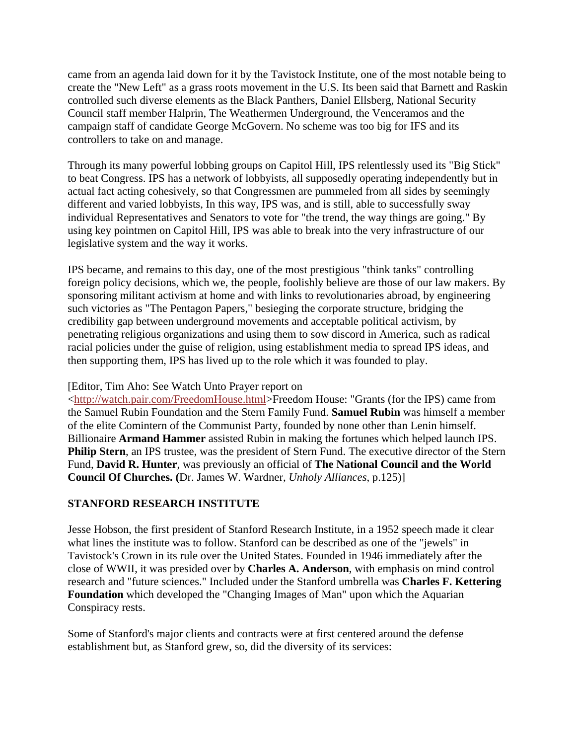came from an agenda laid down for it by the Tavistock Institute, one of the most notable being to create the "New Left" as a grass roots movement in the U.S. Its been said that Barnett and Raskin controlled such diverse elements as the Black Panthers, Daniel Ellsberg, National Security Council staff member Halprin, The Weathermen Underground, the Venceramos and the campaign staff of candidate George McGovern. No scheme was too big for IFS and its controllers to take on and manage.

Through its many powerful lobbing groups on Capitol Hill, IPS relentlessly used its "Big Stick" to beat Congress. IPS has a network of lobbyists, all supposedly operating independently but in actual fact acting cohesively, so that Congressmen are pummeled from all sides by seemingly different and varied lobbyists, In this way, IPS was, and is still, able to successfully sway individual Representatives and Senators to vote for "the trend, the way things are going." By using key pointmen on Capitol Hill, IPS was able to break into the very infrastructure of our legislative system and the way it works.

IPS became, and remains to this day, one of the most prestigious "think tanks" controlling foreign policy decisions, which we, the people, foolishly believe are those of our law makers. By sponsoring militant activism at home and with links to revolutionaries abroad, by engineering such victories as "The Pentagon Papers," besieging the corporate structure, bridging the credibility gap between underground movements and acceptable political activism, by penetrating religious organizations and using them to sow discord in America, such as radical racial policies under the guise of religion, using establishment media to spread IPS ideas, and then supporting them, IPS has lived up to the role which it was founded to play.

#### [Editor, Tim Aho: See Watch Unto Prayer report on

<http://watch.pair.com/FreedomHouse.html>Freedom House: "Grants (for the IPS) came from the Samuel Rubin Foundation and the Stern Family Fund. **Samuel Rubin** was himself a member of the elite Comintern of the Communist Party, founded by none other than Lenin himself. Billionaire **Armand Hammer** assisted Rubin in making the fortunes which helped launch IPS. **Philip Stern**, an IPS trustee, was the president of Stern Fund. The executive director of the Stern Fund, **David R. Hunter**, was previously an official of **The National Council and the World Council Of Churches. (**Dr. James W. Wardner, *Unholy Alliances*, p.125)]

## **STANFORD RESEARCH INSTITUTE**

Jesse Hobson, the first president of Stanford Research Institute, in a 1952 speech made it clear what lines the institute was to follow. Stanford can be described as one of the "jewels" in Tavistock's Crown in its rule over the United States. Founded in 1946 immediately after the close of WWII, it was presided over by **Charles A. Anderson**, with emphasis on mind control research and "future sciences." Included under the Stanford umbrella was **Charles F. Kettering Foundation** which developed the "Changing Images of Man" upon which the Aquarian Conspiracy rests.

Some of Stanford's major clients and contracts were at first centered around the defense establishment but, as Stanford grew, so, did the diversity of its services: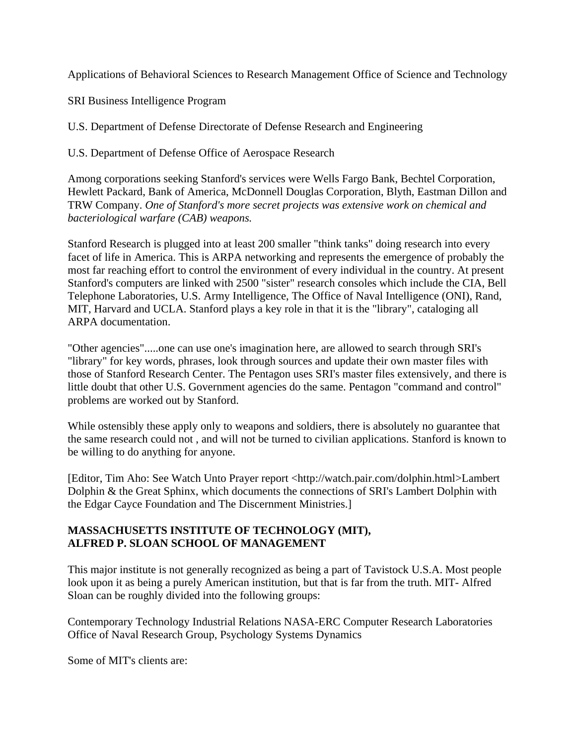Applications of Behavioral Sciences to Research Management Office of Science and Technology

SRI Business Intelligence Program

U.S. Department of Defense Directorate of Defense Research and Engineering

U.S. Department of Defense Office of Aerospace Research

Among corporations seeking Stanford's services were Wells Fargo Bank, Bechtel Corporation, Hewlett Packard, Bank of America, McDonnell Douglas Corporation, Blyth, Eastman Dillon and TRW Company. *One of Stanford's more secret projects was extensive work on chemical and bacteriological warfare (CAB) weapons.*

Stanford Research is plugged into at least 200 smaller "think tanks" doing research into every facet of life in America. This is ARPA networking and represents the emergence of probably the most far reaching effort to control the environment of every individual in the country. At present Stanford's computers are linked with 2500 "sister" research consoles which include the CIA, Bell Telephone Laboratories, U.S. Army Intelligence, The Office of Naval Intelligence (ONI), Rand, MIT, Harvard and UCLA. Stanford plays a key role in that it is the "library", cataloging all ARPA documentation.

"Other agencies".....one can use one's imagination here, are allowed to search through SRI's "library" for key words, phrases, look through sources and update their own master files with those of Stanford Research Center. The Pentagon uses SRI's master files extensively, and there is little doubt that other U.S. Government agencies do the same. Pentagon "command and control" problems are worked out by Stanford.

While ostensibly these apply only to weapons and soldiers, there is absolutely no guarantee that the same research could not , and will not be turned to civilian applications. Stanford is known to be willing to do anything for anyone.

[Editor, Tim Aho: See Watch Unto Prayer report <http://watch.pair.com/dolphin.html>Lambert Dolphin & the Great Sphinx, which documents the connections of SRI's Lambert Dolphin with the Edgar Cayce Foundation and The Discernment Ministries.]

## **MASSACHUSETTS INSTITUTE OF TECHNOLOGY (MIT), ALFRED P. SLOAN SCHOOL OF MANAGEMENT**

This major institute is not generally recognized as being a part of Tavistock U.S.A. Most people look upon it as being a purely American institution, but that is far from the truth. MIT- Alfred Sloan can be roughly divided into the following groups:

Contemporary Technology Industrial Relations NASA-ERC Computer Research Laboratories Office of Naval Research Group, Psychology Systems Dynamics

Some of MIT's clients are: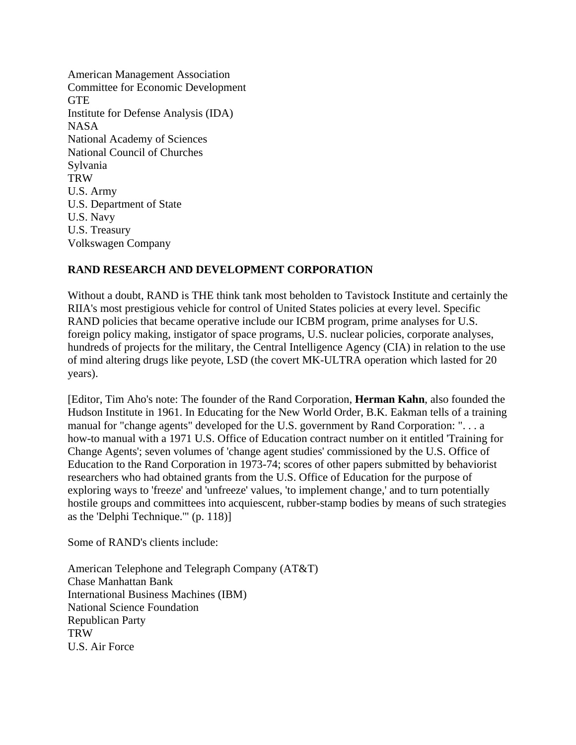American Management Association Committee for Economic Development **GTE** Institute for Defense Analysis (IDA) NASA National Academy of Sciences National Council of Churches Sylvania TRW U.S. Army U.S. Department of State U.S. Navy U.S. Treasury Volkswagen Company

## **RAND RESEARCH AND DEVELOPMENT CORPORATION**

Without a doubt, RAND is THE think tank most beholden to Tavistock Institute and certainly the RIIA's most prestigious vehicle for control of United States policies at every level. Specific RAND policies that became operative include our ICBM program, prime analyses for U.S. foreign policy making, instigator of space programs, U.S. nuclear policies, corporate analyses, hundreds of projects for the military, the Central Intelligence Agency (CIA) in relation to the use of mind altering drugs like peyote, LSD (the covert MK-ULTRA operation which lasted for 20 years).

[Editor, Tim Aho's note: The founder of the Rand Corporation, **Herman Kahn**, also founded the Hudson Institute in 1961. In Educating for the New World Order, B.K. Eakman tells of a training manual for "change agents" developed for the U.S. government by Rand Corporation: ". . . a how-to manual with a 1971 U.S. Office of Education contract number on it entitled 'Training for Change Agents'; seven volumes of 'change agent studies' commissioned by the U.S. Office of Education to the Rand Corporation in 1973-74; scores of other papers submitted by behaviorist researchers who had obtained grants from the U.S. Office of Education for the purpose of exploring ways to 'freeze' and 'unfreeze' values, 'to implement change,' and to turn potentially hostile groups and committees into acquiescent, rubber-stamp bodies by means of such strategies as the 'Delphi Technique.'" (p. 118)]

Some of RAND's clients include:

American Telephone and Telegraph Company (AT&T) Chase Manhattan Bank International Business Machines (IBM) National Science Foundation Republican Party TRW U.S. Air Force